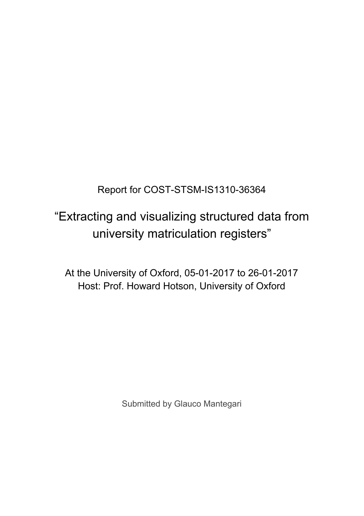Report for COST-STSM-IS1310-36364

# "Extracting and visualizing structured data from university matriculation registers"

At the University of Oxford, 05-01-2017 to 26-01-2017 Host: Prof. Howard Hotson, University of Oxford

Submitted by Glauco Mantegari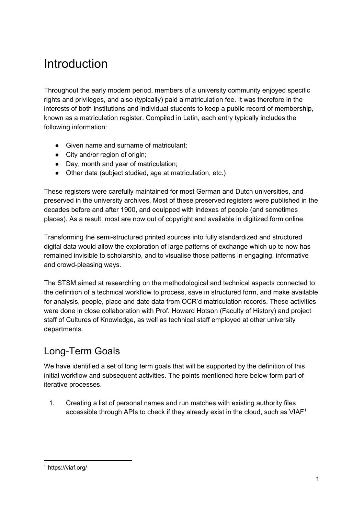# Introduction

Throughout the early modern period, members of a university community enjoyed specific rights and privileges, and also (typically) paid a matriculation fee. It was therefore in the interests of both institutions and individual students to keep a public record of membership, known as a matriculation register. Compiled in Latin, each entry typically includes the following information:

- Given name and surname of matriculant;
- City and/or region of origin;
- Day, month and year of matriculation;
- Other data (subject studied, age at matriculation, etc.)

These registers were carefully maintained for most German and Dutch universities, and preserved in the university archives. Most of these preserved registers were published in the decades before and after 1900, and equipped with indexes of people (and sometimes places). As a result, most are now out of copyright and available in digitized form online.

Transforming the semi-structured printed sources into fully standardized and structured digital data would allow the exploration of large patterns of exchange which up to now has remained invisible to scholarship, and to visualise those patterns in engaging, informative and crowd-pleasing ways.

The STSM aimed at researching on the methodological and technical aspects connected to the definition of a technical workflow to process, save in structured form, and make available for analysis, people, place and date data from OCR'd matriculation records. These activities were done in close collaboration with Prof. Howard Hotson (Faculty of History) and project staff of Cultures of Knowledge, as well as technical staff employed at other university departments.

### Long-Term Goals

We have identified a set of long term goals that will be supported by the definition of this initial workflow and subsequent activities. The points mentioned here below form part of iterative processes.

1. Creating a list of personal names and run matches with existing authority files accessible through APIs to check if they already exist in the cloud, such as  $VIAF<sup>1</sup>$ 

<sup>1</sup> https://viaf.org/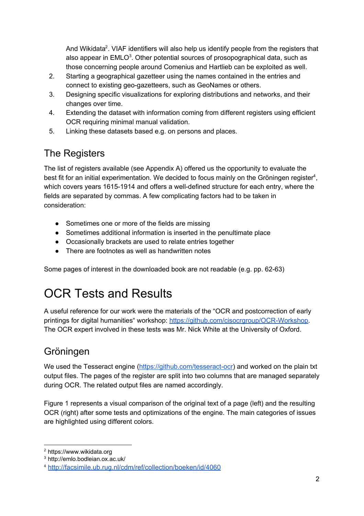And Wikidata<sup>2</sup>. VIAF identifiers will also help us identify people from the registers that also appear in  $EMLO<sup>3</sup>$ . Other potential sources of prosopographical data, such as those concerning people around Comenius and Hartlieb can be exploited as well.

- 2. Starting a geographical gazetteer using the names contained in the entries and connect to existing geo-gazetteers, such as GeoNames or others.
- 3. Designing specific visualizations for exploring distributions and networks, and their changes over time.
- 4. Extending the dataset with information coming from different registers using efficient OCR requiring minimal manual validation.
- 5. Linking these datasets based e.g. on persons and places.

# The Registers

The list of registers available (see Appendix A) offered us the opportunity to evaluate the best fit for an initial experimentation. We decided to focus mainly on the Gröningen register<sup>4</sup>, which covers years 1615-1914 and offers a well-defined structure for each entry, where the fields are separated by commas. A few complicating factors had to be taken in consideration:

- Sometimes one or more of the fields are missing
- Sometimes additional information is inserted in the penultimate place
- Occasionally brackets are used to relate entries together
- There are footnotes as well as handwritten notes

Some pages of interest in the downloaded book are not readable (e.g. pp. 62-63)

# OCR Tests and Results

A useful reference for our work were the materials of the "OCR and postcorrection of early printings for digital humanities" workshop: <https://github.com/cisocrgroup/OCR-Workshop>. The OCR expert involved in these tests was Mr. Nick White at the University of Oxford.

# Gröningen

We used the Tesseract engine [\(https://github.com/tesseract-ocr\)](https://github.com/tesseract-ocr) and worked on the plain txt output files. The pages of the register are split into two columns that are managed separately during OCR. The related output files are named accordingly.

Figure 1 represents a visual comparison of the original text of a page (left) and the resulting OCR (right) after some tests and optimizations of the engine. The main categories of issues are highlighted using different colors.

<sup>&</sup>lt;sup>2</sup> https://www.wikidata.org

<sup>3</sup> http://emlo.bodleian.ox.ac.uk/

<sup>4</sup> <http://facsimile.ub.rug.nl/cdm/ref/collection/boeken/id/4060>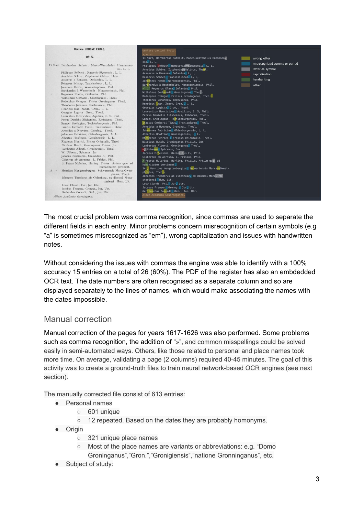

The most crucial problem was comma recognition, since commas are used to separate the different fields in each entry. Minor problems concern misrecognition of certain symbols (e.g "a" is sometimes misrecognized as "em"), wrong capitalization and issues with handwritten notes.

Without considering the issues with commas the engine was able to identify with a 100% accuracy 15 entries on a total of 26 (60%). The PDF of the register has also an embdedded OCR text. The date numbers are often recognised as a separate column and so are displayed separately to the lines of names, which would make associating the names with the dates impossible.

#### Manual correction

Manual correction of the pages for years 1617-1626 was also performed. Some problems such as comma recognition, the addition of "»", and common misspellings could be solved easily in semi-automated ways. Others, like those related to personal and place names took more time. On average, validating a page (2 columns) required 40-45 minutes. The goal of this activity was to create a ground-truth files to train neural network-based OCR engines (see next section).

The manually corrected file consist of 613 entries:

- Personal names
	- 601 unique
	- 12 repeated. Based on the dates they are probably homonyms.
- Origin
	- 321 unique place names
	- Most of the place names are variants or abbreviations: e.g. "Domo Groninganus","Gron.","Gronigiensis","natione Gronninganus", etc.
- Subject of study: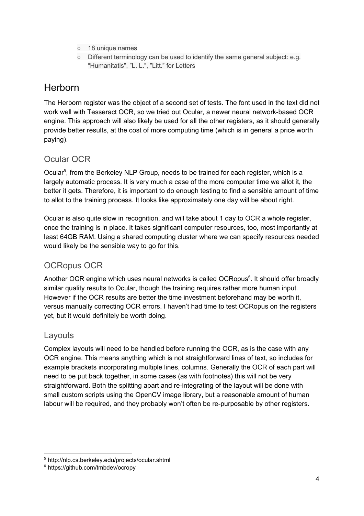- 18 unique names
- Different terminology can be used to identify the same general subject: e.g. "Humanitatis", "L. L.", "Litt." for Letters

### **Herborn**

The Herborn register was the object of a second set of tests. The font used in the text did not work well with Tesseract OCR, so we tried out Ocular, a newer neural network-based OCR engine. This approach will also likely be used for all the other registers, as it should generally provide better results, at the cost of more computing time (which is in general a price worth paying).

#### Ocular OCR

Ocular<sup>5</sup>, from the Berkeley NLP Group, needs to be trained for each register, which is a largely automatic process. It is very much a case of the more computer time we allot it, the better it gets. Therefore, it is important to do enough testing to find a sensible amount of time to allot to the training process. It looks like approximately one day will be about right.

Ocular is also quite slow in recognition, and will take about 1 day to OCR a whole register, once the training is in place. It takes significant computer resources, too, most importantly at least 64GB RAM. Using a shared computing cluster where we can specify resources needed would likely be the sensible way to go for this.

### OCRopus OCR

Another OCR engine which uses neural networks is called OCRopus<sup>6</sup>. It should offer broadly similar quality results to Ocular, though the training requires rather more human input. However if the OCR results are better the time investment beforehand may be worth it, versus manually correcting OCR errors. I haven't had time to test OCRopus on the registers yet, but it would definitely be worth doing.

#### Layouts

Complex layouts will need to be handled before running the OCR, as is the case with any OCR engine. This means anything which is not straightforward lines of text, so includes for example brackets incorporating multiple lines, columns. Generally the OCR of each part will need to be put back together, in some cases (as with footnotes) this will not be very straightforward. Both the splitting apart and re-integrating of the layout will be done with small custom scripts using the OpenCV image library, but a reasonable amount of human labour will be required, and they probably won't often be re-purposable by other registers.

<sup>5</sup> http://nlp.cs.berkeley.edu/projects/ocular.shtml

<sup>&</sup>lt;sup>6</sup> https://github.com/tmbdev/ocropy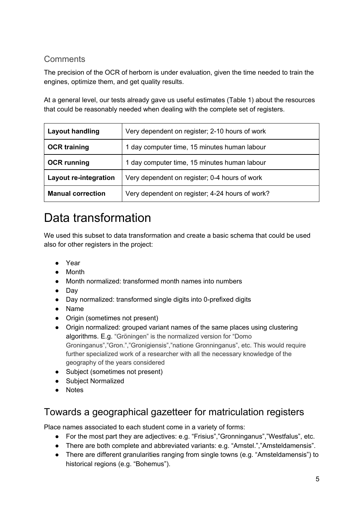#### **Comments**

The precision of the OCR of herborn is under evaluation, given the time needed to train the engines, optimize them, and get quality results.

At a general level, our tests already gave us useful estimates (Table 1) about the resources that could be reasonably needed when dealing with the complete set of registers.

| <b>Layout handling</b>       | Very dependent on register; 2-10 hours of work  |
|------------------------------|-------------------------------------------------|
| <b>OCR training</b>          | 1 day computer time, 15 minutes human labour    |
| <b>OCR</b> running           | 1 day computer time, 15 minutes human labour    |
| <b>Layout re-integration</b> | Very dependent on register; 0-4 hours of work   |
| <b>Manual correction</b>     | Very dependent on register; 4-24 hours of work? |

# Data transformation

We used this subset to data transformation and create a basic schema that could be used also for other registers in the project:

- Year
- Month
- Month normalized: transformed month names into numbers
- Day
- Day normalized: transformed single digits into 0-prefixed digits
- Name
- Origin (sometimes not present)
- Origin normalized: grouped variant names of the same places using clustering algorithms. E.g. "Gröningen" is the normalized version for "Domo Groninganus","Gron.","Gronigiensis","natione Gronninganus", etc. This would require further specialized work of a researcher with all the necessary knowledge of the geography of the years considered
- Subject (sometimes not present)
- Subject Normalized
- Notes

### Towards a geographical gazetteer for matriculation registers

Place names associated to each student come in a variety of forms:

- For the most part they are adjectives: e.g. "Frisius","Gronninganus","Westfalus", etc.
- There are both complete and abbreviated variants: e.g. "Amstel.","Amsteldamensis".
- There are different granularities ranging from single towns (e.g. "Amsteldamensis") to historical regions (e.g. "Bohemus").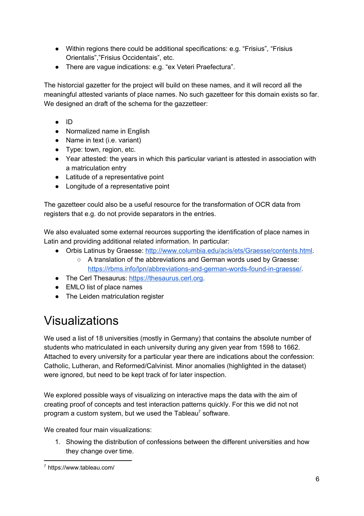- Within regions there could be additional specifications: e.g. "Frisius", "Frisius Orientalis","Frisius Occidentais", etc.
- There are vague indications: e.g. "ex Veteri Praefectura".

The historcial gazetter for the project will build on these names, and it will record all the meaningful attested variants of place names. No such gazetteer for this domain exists so far. We designed an draft of the schema for the gazzetteer:

- ID
- Normalized name in English
- Name in text (i.e. variant)
- Type: town, region, etc.
- Year attested: the years in which this particular variant is attested in association with a matriculation entry
- Latitude of a representative point
- Longitude of a representative point

The gazetteer could also be a useful resource for the transformation of OCR data from registers that e.g. do not provide separators in the entries.

We also evaluated some external reources supporting the identification of place names in Latin and providing additional related information. In particular:

- Orbis Latinus by Graesse: [http://www.columbia.edu/acis/ets/Graesse/contents.html.](http://www.columbia.edu/acis/ets/Graesse/contents.html)
	- A translation of the abbreviations and German words used by Graesse: <https://rbms.info/lpn/abbreviations-and-german-words-found-in-graesse/>.
- The Cerl Thesaurus: [https://thesaurus.cerl.org](https://thesaurus.cerl.org/).
- EMLO list of place names
- The Leiden matriculation register

# Visualizations

We used a list of 18 universities (mostly in Germany) that contains the absolute number of students who matriculated in each university during any given year from 1598 to 1662. Attached to every university for a particular year there are indications about the confession: Catholic, Lutheran, and Reformed/Calvinist. Minor anomalies (highlighted in the dataset) were ignored, but need to be kept track of for later inspection.

We explored possible ways of visualizing on interactive maps the data with the aim of creating proof of concepts and test interaction patterns quickly. For this we did not not program a custom system, but we used the Tableau<sup>7</sup> software.

We created four main visualizations:

1. Showing the distribution of confessions between the different universities and how they change over time.

<sup>7</sup> https://www.tableau.com/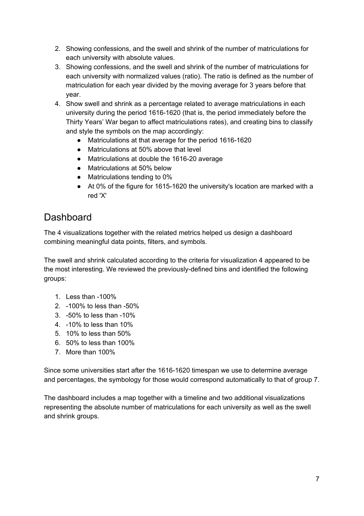- 2. Showing confessions, and the swell and shrink of the number of matriculations for each university with absolute values.
- 3. Showing confessions, and the swell and shrink of the number of matriculations for each university with normalized values (ratio). The ratio is defined as the number of matriculation for each year divided by the moving average for 3 years before that year.
- 4. Show swell and shrink as a percentage related to average matriculations in each university during the period 1616-1620 (that is, the period immediately before the Thirty Years' War began to affect matriculations rates), and creating bins to classify and style the symbols on the map accordingly:
	- Matriculations at that average for the period 1616-1620
	- Matriculations at 50% above that level
	- Matriculations at double the 1616-20 average
	- Matriculations at 50% below
	- Matriculations tending to 0%
	- At 0% of the figure for 1615-1620 the university's location are marked with a red 'X'

### **Dashboard**

The 4 visualizations together with the related metrics helped us design a dashboard combining meaningful data points, filters, and symbols.

The swell and shrink calculated according to the criteria for visualization 4 appeared to be the most interesting. We reviewed the previously-defined bins and identified the following groups:

- 1. Less than -100%
- 2. -100% to less than -50%
- 3. -50% to less than -10%
- 4. -10% to less than 10%
- 5. 10% to less than 50%
- 6. 50% to less than 100%
- 7. More than 100%

Since some universities start after the 1616-1620 timespan we use to determine average and percentages, the symbology for those would correspond automatically to that of group 7.

The dashboard includes a map together with a timeline and two additional visualizations representing the absolute number of matriculations for each university as well as the swell and shrink groups.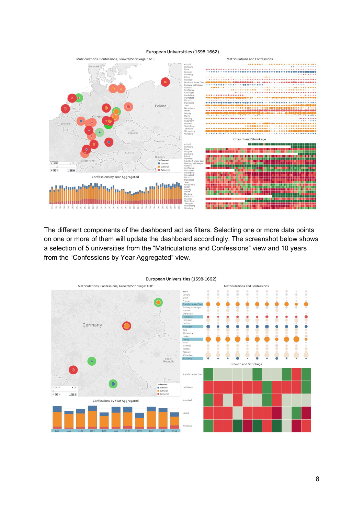#### European Universities (1598-1662)



The different components of the dashboard act as filters. Selecting one or more data points on one or more of them will update the dashboard accordingly. The screenshot below shows a selection of 5 universities from the "Matriculations and Confessions" view and 10 years from the "Confessions by Year Aggregated" view.



European Universities (1598-1662)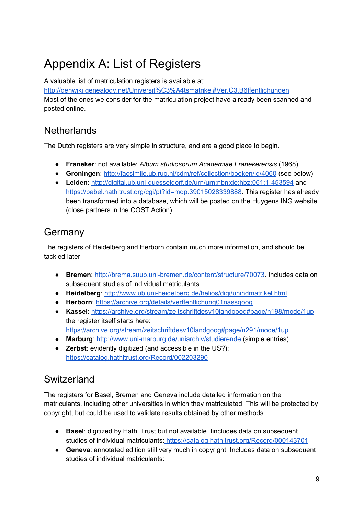# Appendix A: List of Registers

A valuable list of matriculation registers is available at[:](http://genwiki.genealogy.net/Universit%C3%A4tsmatrikel#Ver.C3.B6ffentlichungen) <http://genwiki.genealogy.net/Universit%C3%A4tsmatrikel#Ver.C3.B6ffentlichungen> Most of the ones we consider for the matriculation project have already been scanned and posted online.

### **Netherlands**

The Dutch registers are very simple in structure, and are a good place to begin.

- **Franeker**: not available: *Album studiosorum Academiae Franekerensis* (1968).
- **Groningen**: <http://facsimile.ub.rug.nl/cdm/ref/collection/boeken/id/4060> (see below)
- **Leiden**: <http://digital.ub.uni-duesseldorf.de/urn/urn:nbn:de:hbz:061:1-453594> an[d](https://babel.hathitrust.org/cgi/pt?id=mdp.39015028339888) [https://babel.hathitrust.org/cgi/pt?id=mdp.39015028339888.](https://babel.hathitrust.org/cgi/pt?id=mdp.39015028339888) This register has already been transformed into a database, which will be posted on the Huygens ING website (close partners in the COST Action).

## Germany

The registers of Heidelberg and Herborn contain much more information, and should be tackled later

- **Bremen**[:](http://brema.suub.uni-bremen.de/content/structure/70073) [http://brema.suub.uni-bremen.de/content/structure/70073.](http://brema.suub.uni-bremen.de/content/structure/70073) Includes data on subsequent studies of individual matriculants.
- **Heidelberg**: <http://www.ub.uni-heidelberg.de/helios/digi/unihdmatrikel.html>
- **Herborn**: <https://archive.org/details/verffentlichung01nassgoog>
- **Kassel**: <https://archive.org/stream/zeitschriftdesv10landgoog#page/n198/mode/1up> the register itself starts here[:](https://archive.org/stream/zeitschriftdesv10landgoog#page/n291/mode/1up) <https://archive.org/stream/zeitschriftdesv10landgoog#page/n291/mode/1up>.
- **Marburg**[:](http://www.uni-marburg.de/uniarchiv/studierende) <http://www.uni-marburg.de/uniarchiv/studierende> (simple entries)
- **Zerbst**: evidently digitized (and accessible in the US?): <https://catalog.hathitrust.org/Record/002203290>

# Switzerland

The registers for Basel, Bremen and Geneva include detailed information on the matriculants, including other universities in which they matriculated. This will be protected by copyright, but could be used to validate results obtained by other methods.

- **Basel**: digitized by Hathi Trust but not available. Iincludes data on subsequent studies of individual matriculants: <https://catalog.hathitrust.org/Record/000143701>
- **Geneva**: annotated edition still very much in copyright. Includes data on subsequent studies of individual matriculants: